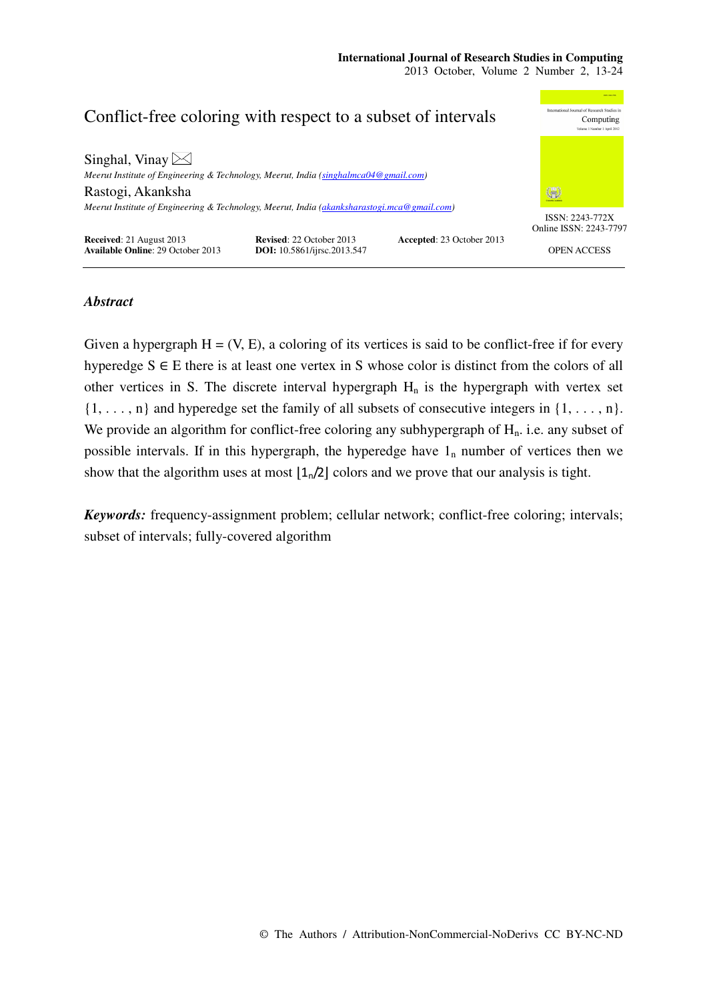

# *Abstract*

Given a hypergraph  $H = (V, E)$ , a coloring of its vertices is said to be conflict-free if for every hyperedge  $S \in E$  there is at least one vertex in S whose color is distinct from the colors of all other vertices in S. The discrete interval hypergraph  $H_n$  is the hypergraph with vertex set  $\{1, \ldots, n\}$  and hyperedge set the family of all subsets of consecutive integers in  $\{1, \ldots, n\}$ . We provide an algorithm for conflict-free coloring any subhypergraph of  $H<sub>n</sub>$ . i.e. any subset of possible intervals. If in this hypergraph, the hyperedge have  $1<sub>n</sub>$  number of vertices then we show that the algorithm uses at most  $\lfloor 1_n/2 \rfloor$  colors and we prove that our analysis is tight.

*Keywords:* frequency-assignment problem; cellular network; conflict-free coloring; intervals; subset of intervals; fully-covered algorithm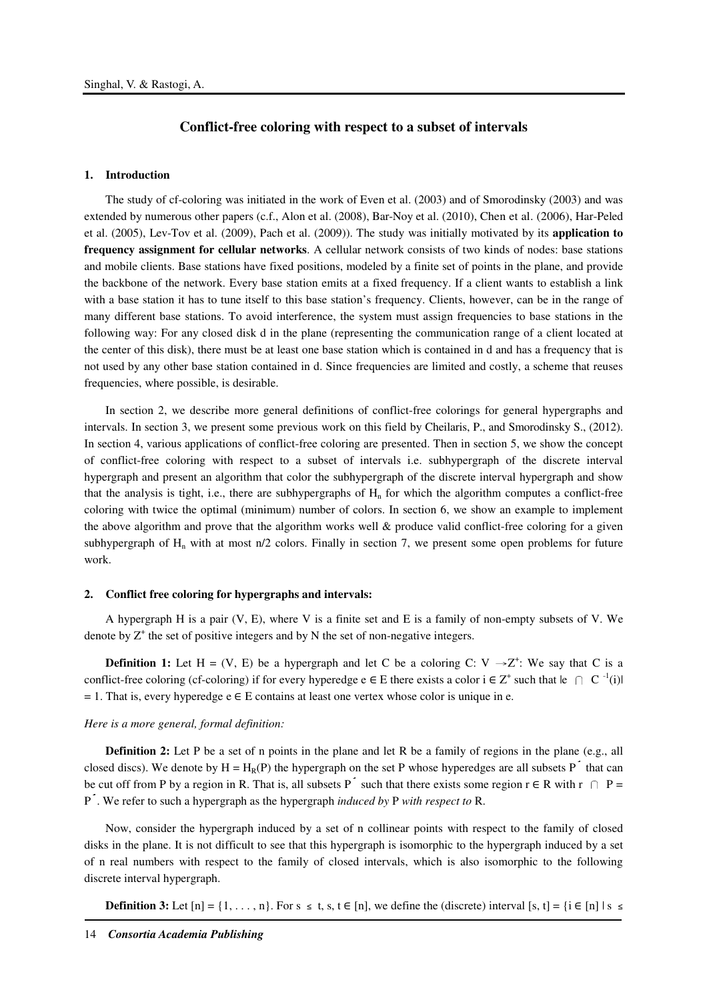## **Conflict-free coloring with respect to a subset of intervals**

## **1. Introduction**

The study of cf-coloring was initiated in the work of Even et al. (2003) and of Smorodinsky (2003) and was extended by numerous other papers (c.f., Alon et al. (2008), Bar-Noy et al. (2010), Chen et al. (2006), Har-Peled et al. (2005), Lev-Tov et al. (2009), Pach et al. (2009)). The study was initially motivated by its **application to frequency assignment for cellular networks**. A cellular network consists of two kinds of nodes: base stations and mobile clients. Base stations have fixed positions, modeled by a finite set of points in the plane, and provide the backbone of the network. Every base station emits at a fixed frequency. If a client wants to establish a link with a base station it has to tune itself to this base station's frequency. Clients, however, can be in the range of many different base stations. To avoid interference, the system must assign frequencies to base stations in the following way: For any closed disk d in the plane (representing the communication range of a client located at the center of this disk), there must be at least one base station which is contained in d and has a frequency that is not used by any other base station contained in d. Since frequencies are limited and costly, a scheme that reuses frequencies, where possible, is desirable.

In section 2, we describe more general definitions of conflict-free colorings for general hypergraphs and intervals. In section 3, we present some previous work on this field by Cheilaris, P., and Smorodinsky S., (2012). In section 4, various applications of conflict-free coloring are presented. Then in section 5, we show the concept of conflict-free coloring with respect to a subset of intervals i.e. subhypergraph of the discrete interval hypergraph and present an algorithm that color the subhypergraph of the discrete interval hypergraph and show that the analysis is tight, i.e., there are subhypergraphs of  $H<sub>n</sub>$  for which the algorithm computes a conflict-free coloring with twice the optimal (minimum) number of colors. In section 6, we show an example to implement the above algorithm and prove that the algorithm works well & produce valid conflict-free coloring for a given subhypergraph of  $H_n$  with at most n/2 colors. Finally in section 7, we present some open problems for future work.

#### **2. Conflict free coloring for hypergraphs and intervals:**

A hypergraph H is a pair  $(V, E)$ , where V is a finite set and E is a family of non-empty subsets of V. We denote by  $Z^+$  the set of positive integers and by N the set of non-negative integers.

**Definition 1:** Let  $H = (V, E)$  be a hypergraph and let C be a coloring C:  $V \rightarrow Z^+$ : We say that C is a conflict-free coloring (cf-coloring) if for every hyperedge  $e \in E$  there exists a color  $i \in Z^+$  such that  $e \cap C^{-1}(i)$  $= 1$ . That is, every hyperedge e  $\in$  E contains at least one vertex whose color is unique in e.

#### *Here is a more general, formal definition:*

**Definition 2:** Let P be a set of n points in the plane and let R be a family of regions in the plane (e.g., all closed discs). We denote by  $H = H_R(P)$  the hypergraph on the set P whose hyperedges are all subsets P<sup> $\dot{H}$ </sup> that can be cut off from P by a region in R. That is, all subsets P<sup> $\check{P}$ </sup> such that there exists some region  $r \in R$  with  $r \cap P =$ P ′. We refer to such a hypergraph as the hypergraph *induced by* P *with respect to* R.

Now, consider the hypergraph induced by a set of n collinear points with respect to the family of closed disks in the plane. It is not difficult to see that this hypergraph is isomorphic to the hypergraph induced by a set of n real numbers with respect to the family of closed intervals, which is also isomorphic to the following discrete interval hypergraph.

**Definition 3:** Let  $[n] = \{1, \ldots, n\}$ . For  $s \le t$ ,  $s, t \in [n]$ , we define the (discrete) interval  $[s, t] = \{i \in [n] | s \le t\}$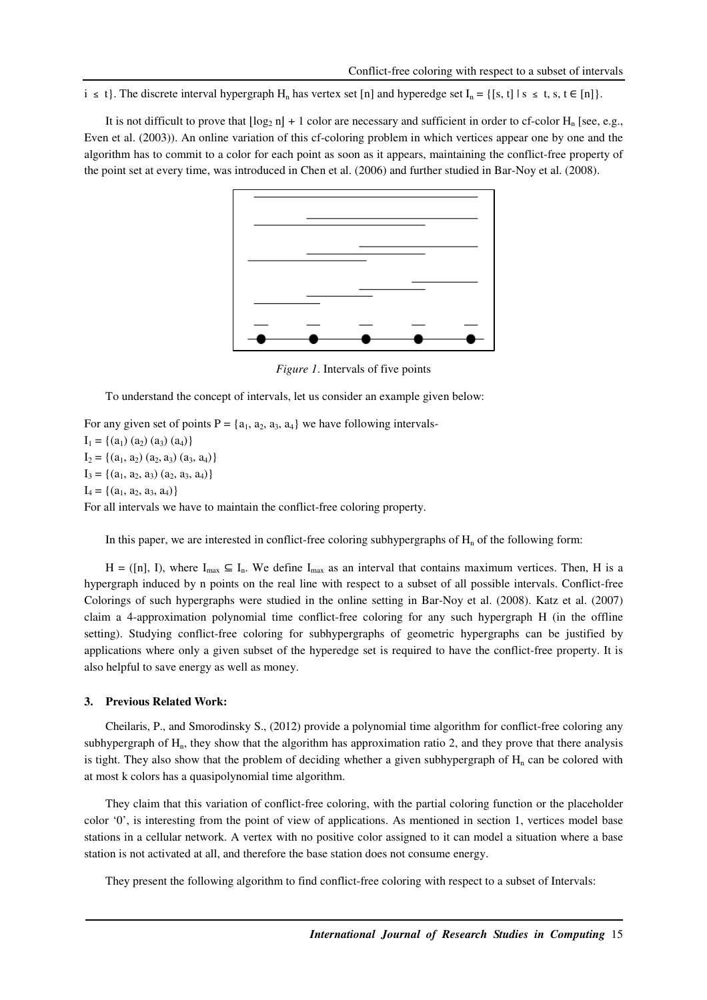i ≤ t}. The discrete interval hypergraph H<sub>n</sub> has vertex set [n] and hyperedge set I<sub>n</sub> = {[s, t] | s ≤ t, s, t ∈ [n]}.

It is not difficult to prove that  $\lfloor \log_2 n \rfloor + 1$  color are necessary and sufficient in order to cf-color H<sub>n</sub> [see, e.g., Even et al. (2003)). An online variation of this cf-coloring problem in which vertices appear one by one and the algorithm has to commit to a color for each point as soon as it appears, maintaining the conflict-free property of the point set at every time, was introduced in Chen et al. (2006) and further studied in Bar-Noy et al. (2008).



*Figure 1*. Intervals of five points

To understand the concept of intervals, let us consider an example given below:

For any given set of points  $P = \{a_1, a_2, a_3, a_4\}$  we have following intervals- $I_1 = \{(a_1) (a_2) (a_3) (a_4)\}\$  $I_2 = \{(a_1, a_2) (a_2, a_3) (a_3, a_4)\}\$  $I_3 = \{(a_1, a_2, a_3) (a_2, a_3, a_4)\}\$  $I_4 = \{(a_1, a_2, a_3, a_4)\}\$ For all intervals we have to maintain the conflict-free coloring property.

In this paper, we are interested in conflict-free coloring subhypergraphs of  $H_n$  of the following form:

 $H = ([n], I)$ , where  $I_{max} \subseteq I_n$ . We define  $I_{max}$  as an interval that contains maximum vertices. Then, H is a hypergraph induced by n points on the real line with respect to a subset of all possible intervals. Conflict-free Colorings of such hypergraphs were studied in the online setting in Bar-Noy et al. (2008). Katz et al. (2007) claim a 4-approximation polynomial time conflict-free coloring for any such hypergraph H (in the offline setting). Studying conflict-free coloring for subhypergraphs of geometric hypergraphs can be justified by applications where only a given subset of the hyperedge set is required to have the conflict-free property. It is also helpful to save energy as well as money.

## **3. Previous Related Work:**

Cheilaris, P., and Smorodinsky S., (2012) provide a polynomial time algorithm for conflict-free coloring any subhypergraph of  $H_n$ , they show that the algorithm has approximation ratio 2, and they prove that there analysis is tight. They also show that the problem of deciding whether a given subhypergraph of  $H<sub>n</sub>$  can be colored with at most k colors has a quasipolynomial time algorithm.

They claim that this variation of conflict-free coloring, with the partial coloring function or the placeholder color '0', is interesting from the point of view of applications. As mentioned in section 1, vertices model base stations in a cellular network. A vertex with no positive color assigned to it can model a situation where a base station is not activated at all, and therefore the base station does not consume energy.

They present the following algorithm to find conflict-free coloring with respect to a subset of Intervals: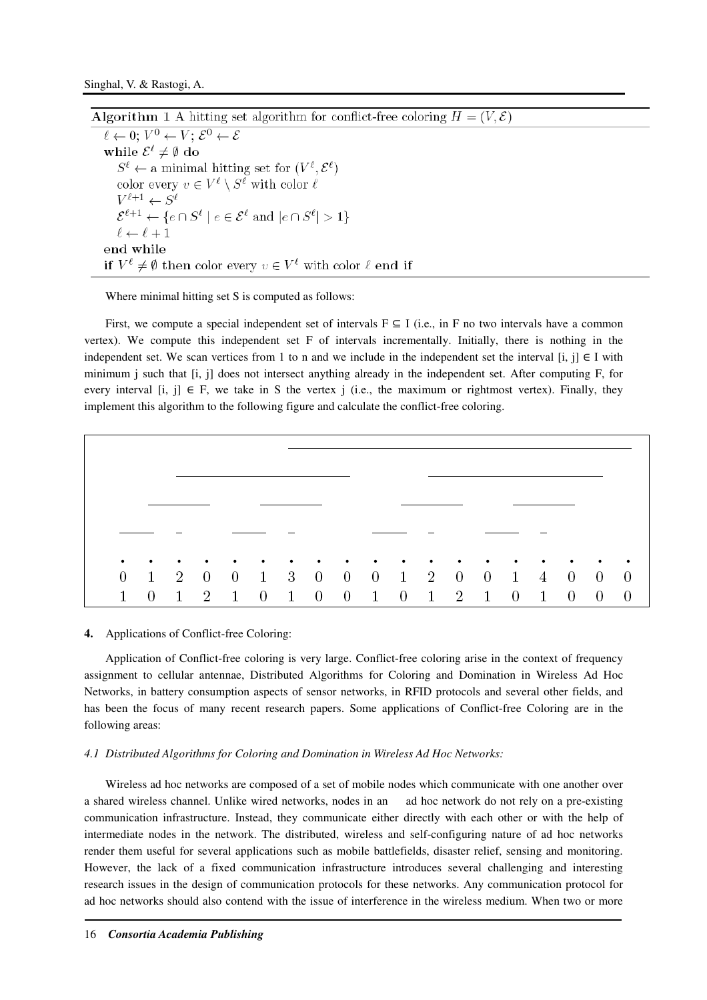**Algorithm 1** A hitting set algorithm for conflict-free coloring  $H = (V, \mathcal{E})$ 

 $\ell \leftarrow 0; V^0 \leftarrow V; \mathcal{E}^0 \leftarrow \mathcal{E}$ while  $\mathcal{E}^{\ell} \neq \emptyset$  do  $S^{\ell} \leftarrow$  a minimal hitting set for  $(V^{\ell}, \mathcal{E}^{\ell})$ color every  $v \in V^{\ell} \setminus S^{\ell}$  with color  $\ell$  $V^{\ell+1} \leftarrow S^{\ell}$  $\mathcal{E}^{\ell+1} \leftarrow {\mathcal{E}} \cap S^{\ell} \mid e \in \mathcal{E}^{\ell} \text{ and } |e \cap S^{\ell}| > 1$  $\ell \leftarrow \ell + 1$ end while if  $V^{\ell} \neq \emptyset$  then color every  $v \in V^{\ell}$  with color  $\ell$  end if

Where minimal hitting set S is computed as follows:

First, we compute a special independent set of intervals  $F \subseteq I$  (i.e., in F no two intervals have a common vertex). We compute this independent set F of intervals incrementally. Initially, there is nothing in the independent set. We scan vertices from 1 to n and we include in the independent set the interval [i, j]  $\in$  I with minimum j such that [i, j] does not intersect anything already in the independent set. After computing F, for every interval [i, j]  $\in$  F, we take in S the vertex j (i.e., the maximum or rightmost vertex). Finally, they implement this algorithm to the following figure and calculate the conflict-free coloring.

|  |                |  |  |  |  |  | .                                     |  |  |  |  |  |  |  |  |  |  |  |
|--|----------------|--|--|--|--|--|---------------------------------------|--|--|--|--|--|--|--|--|--|--|--|
|  |                |  |  |  |  |  | 0 1 2 0 0 1 3 0 0 0 1 2 0 0 1 4 0 0 0 |  |  |  |  |  |  |  |  |  |  |  |
|  | $\overline{0}$ |  |  |  |  |  | 1 2 1 0 1 0 0 1 0 1 2 1 0 1 0 0 0     |  |  |  |  |  |  |  |  |  |  |  |

## **4.** Applications of Conflict-free Coloring:

Application of Conflict-free coloring is very large. Conflict-free coloring arise in the context of frequency assignment to cellular antennae, Distributed Algorithms for Coloring and Domination in Wireless Ad Hoc Networks, in battery consumption aspects of sensor networks, in RFID protocols and several other fields, and has been the focus of many recent research papers. Some applications of Conflict-free Coloring are in the following areas:

## *4.1 Distributed Algorithms for Coloring and Domination in Wireless Ad Hoc Networks:*

Wireless ad hoc networks are composed of a set of mobile nodes which communicate with one another over a shared wireless channel. Unlike wired networks, nodes in an ad hoc network do not rely on a pre-existing communication infrastructure. Instead, they communicate either directly with each other or with the help of intermediate nodes in the network. The distributed, wireless and self-configuring nature of ad hoc networks render them useful for several applications such as mobile battlefields, disaster relief, sensing and monitoring. However, the lack of a fixed communication infrastructure introduces several challenging and interesting research issues in the design of communication protocols for these networks. Any communication protocol for ad hoc networks should also contend with the issue of interference in the wireless medium. When two or more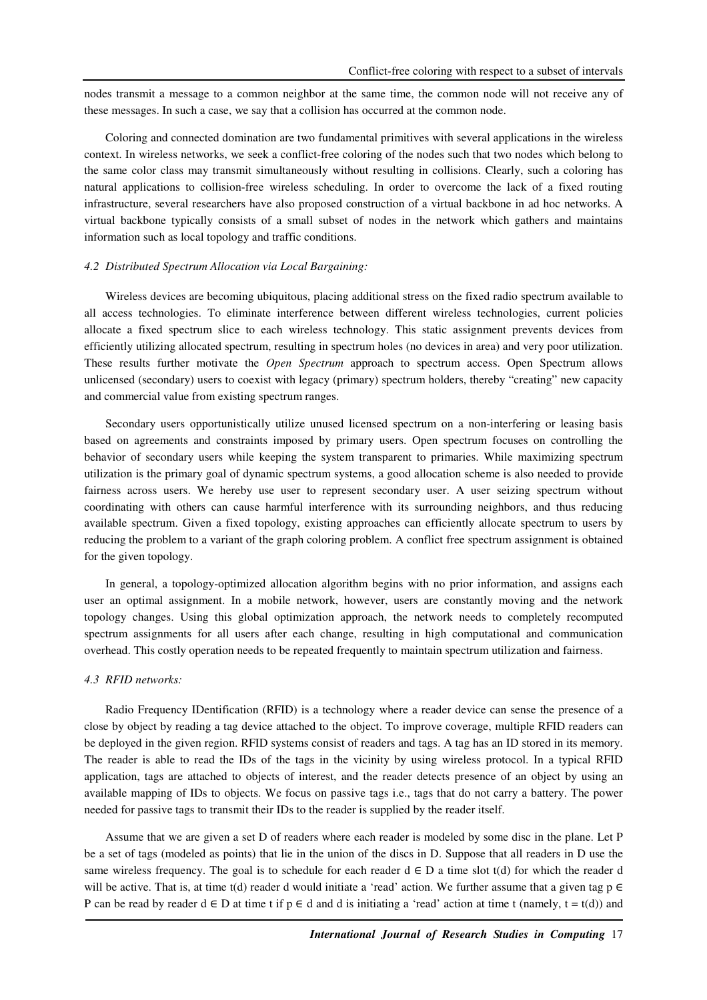nodes transmit a message to a common neighbor at the same time, the common node will not receive any of these messages. In such a case, we say that a collision has occurred at the common node.

Coloring and connected domination are two fundamental primitives with several applications in the wireless context. In wireless networks, we seek a conflict-free coloring of the nodes such that two nodes which belong to the same color class may transmit simultaneously without resulting in collisions. Clearly, such a coloring has natural applications to collision-free wireless scheduling. In order to overcome the lack of a fixed routing infrastructure, several researchers have also proposed construction of a virtual backbone in ad hoc networks. A virtual backbone typically consists of a small subset of nodes in the network which gathers and maintains information such as local topology and traffic conditions.

#### *4.2 Distributed Spectrum Allocation via Local Bargaining:*

Wireless devices are becoming ubiquitous, placing additional stress on the fixed radio spectrum available to all access technologies. To eliminate interference between different wireless technologies, current policies allocate a fixed spectrum slice to each wireless technology. This static assignment prevents devices from efficiently utilizing allocated spectrum, resulting in spectrum holes (no devices in area) and very poor utilization. These results further motivate the *Open Spectrum* approach to spectrum access. Open Spectrum allows unlicensed (secondary) users to coexist with legacy (primary) spectrum holders, thereby "creating" new capacity and commercial value from existing spectrum ranges.

Secondary users opportunistically utilize unused licensed spectrum on a non-interfering or leasing basis based on agreements and constraints imposed by primary users. Open spectrum focuses on controlling the behavior of secondary users while keeping the system transparent to primaries. While maximizing spectrum utilization is the primary goal of dynamic spectrum systems, a good allocation scheme is also needed to provide fairness across users. We hereby use user to represent secondary user. A user seizing spectrum without coordinating with others can cause harmful interference with its surrounding neighbors, and thus reducing available spectrum. Given a fixed topology, existing approaches can efficiently allocate spectrum to users by reducing the problem to a variant of the graph coloring problem. A conflict free spectrum assignment is obtained for the given topology.

In general, a topology-optimized allocation algorithm begins with no prior information, and assigns each user an optimal assignment. In a mobile network, however, users are constantly moving and the network topology changes. Using this global optimization approach, the network needs to completely recomputed spectrum assignments for all users after each change, resulting in high computational and communication overhead. This costly operation needs to be repeated frequently to maintain spectrum utilization and fairness.

#### *4.3 RFID networks:*

Radio Frequency IDentification (RFID) is a technology where a reader device can sense the presence of a close by object by reading a tag device attached to the object. To improve coverage, multiple RFID readers can be deployed in the given region. RFID systems consist of readers and tags. A tag has an ID stored in its memory. The reader is able to read the IDs of the tags in the vicinity by using wireless protocol. In a typical RFID application, tags are attached to objects of interest, and the reader detects presence of an object by using an available mapping of IDs to objects. We focus on passive tags i.e., tags that do not carry a battery. The power needed for passive tags to transmit their IDs to the reader is supplied by the reader itself.

Assume that we are given a set D of readers where each reader is modeled by some disc in the plane. Let P be a set of tags (modeled as points) that lie in the union of the discs in D. Suppose that all readers in D use the same wireless frequency. The goal is to schedule for each reader  $d \in D$  a time slot t(d) for which the reader d will be active. That is, at time t(d) reader d would initiate a 'read' action. We further assume that a given tag  $p \in$ P can be read by reader  $d \in D$  at time t if  $p \in d$  and d is initiating a 'read' action at time t (namely,  $t = t(d)$ ) and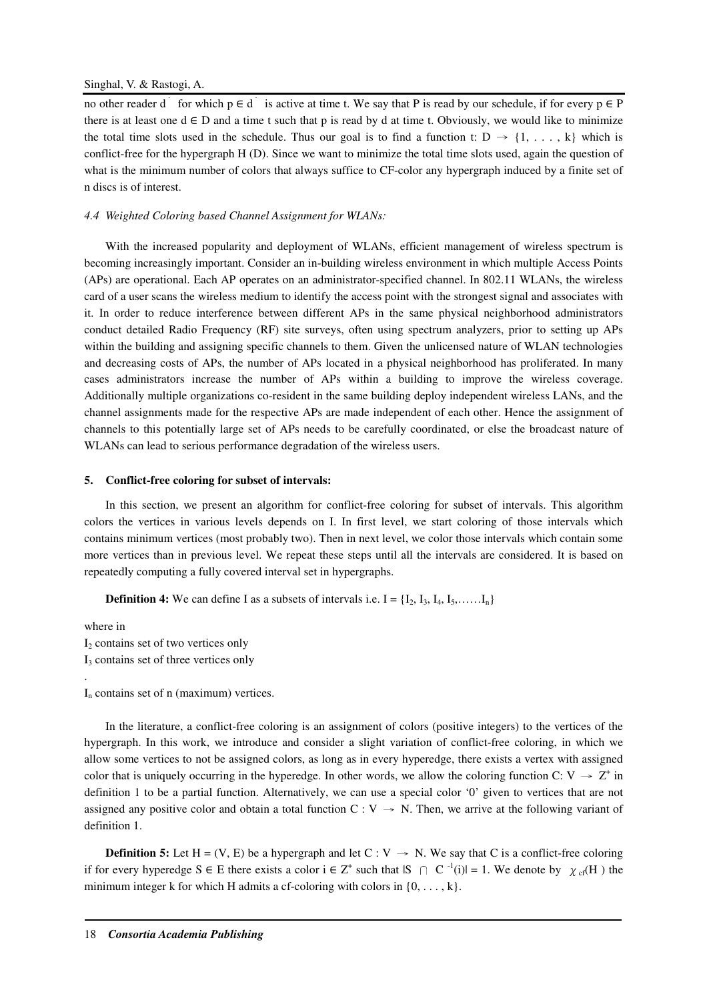#### Singhal, V. & Rastogi, A.

no other reader d  $\circ$  for which  $p \in d$  is active at time t. We say that P is read by our schedule, if for every  $p \in P$ there is at least one  $d \in D$  and a time t such that p is read by d at time t. Obviously, we would like to minimize the total time slots used in the schedule. Thus our goal is to find a function t:  $D \rightarrow \{1, \ldots, k\}$  which is conflict-free for the hypergraph H (D). Since we want to minimize the total time slots used, again the question of what is the minimum number of colors that always suffice to CF-color any hypergraph induced by a finite set of n discs is of interest.

## *4.4 Weighted Coloring based Channel Assignment for WLANs:*

With the increased popularity and deployment of WLANs, efficient management of wireless spectrum is becoming increasingly important. Consider an in-building wireless environment in which multiple Access Points (APs) are operational. Each AP operates on an administrator-specified channel. In 802.11 WLANs, the wireless card of a user scans the wireless medium to identify the access point with the strongest signal and associates with it. In order to reduce interference between different APs in the same physical neighborhood administrators conduct detailed Radio Frequency (RF) site surveys, often using spectrum analyzers, prior to setting up APs within the building and assigning specific channels to them. Given the unlicensed nature of WLAN technologies and decreasing costs of APs, the number of APs located in a physical neighborhood has proliferated. In many cases administrators increase the number of APs within a building to improve the wireless coverage. Additionally multiple organizations co-resident in the same building deploy independent wireless LANs, and the channel assignments made for the respective APs are made independent of each other. Hence the assignment of channels to this potentially large set of APs needs to be carefully coordinated, or else the broadcast nature of WLANs can lead to serious performance degradation of the wireless users.

#### **5. Conflict-free coloring for subset of intervals:**

In this section, we present an algorithm for conflict-free coloring for subset of intervals. This algorithm colors the vertices in various levels depends on I. In first level, we start coloring of those intervals which contains minimum vertices (most probably two). Then in next level, we color those intervals which contain some more vertices than in previous level. We repeat these steps until all the intervals are considered. It is based on repeatedly computing a fully covered interval set in hypergraphs.

**Definition 4:** We can define I as a subsets of intervals i.e.  $I = \{I_2, I_3, I_4, I_5, \ldots, I_n\}$ 

where in I<sub>2</sub> contains set of two vertices only  $I_3$  contains set of three vertices only

.

 $I_n$  contains set of n (maximum) vertices.

In the literature, a conflict-free coloring is an assignment of colors (positive integers) to the vertices of the hypergraph. In this work, we introduce and consider a slight variation of conflict-free coloring, in which we allow some vertices to not be assigned colors, as long as in every hyperedge, there exists a vertex with assigned color that is uniquely occurring in the hyperedge. In other words, we allow the coloring function C:  $V \rightarrow Z^+$  in definition 1 to be a partial function. Alternatively, we can use a special color '0' given to vertices that are not assigned any positive color and obtain a total function  $C: V \rightarrow N$ . Then, we arrive at the following variant of definition 1.

**Definition 5:** Let H = (V, E) be a hypergraph and let C :  $V \rightarrow N$ . We say that C is a conflict-free coloring if for every hyperedge S  $\in$  E there exists a color  $i \in \mathbb{Z}^+$  such that  $|S \cap C^{-1}(i)| = 1$ . We denote by  $\chi_{cf}(H)$  the minimum integer k for which H admits a cf-coloring with colors in  $\{0, \ldots, k\}$ .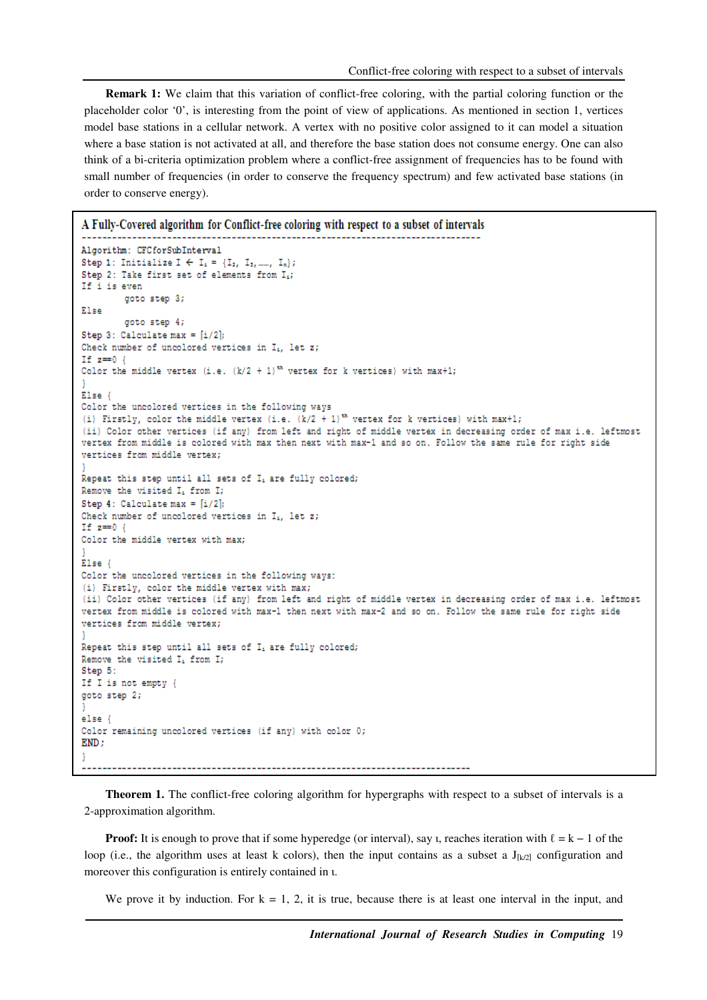**Remark 1:** We claim that this variation of conflict-free coloring, with the partial coloring function or the placeholder color '0', is interesting from the point of view of applications. As mentioned in section 1, vertices model base stations in a cellular network. A vertex with no positive color assigned to it can model a situation where a base station is not activated at all, and therefore the base station does not consume energy. One can also think of a bi-criteria optimization problem where a conflict-free assignment of frequencies has to be found with small number of frequencies (in order to conserve the frequency spectrum) and few activated base stations (in order to conserve energy).

```
A Fully-Covered algorithm for Conflict-free coloring with respect to a subset of intervals
        ---------------------------------
Algorithm: CFCforSubInterval
Step 1: Initialize I \leftarrow I<sub>1</sub> = {I<sub>2</sub>, I<sub>3</sub>, ....., I<sub>n</sub>};
Step 2: Take first set of elements from I<sub>i</sub>;
If i is even
        goto step 3;
Else
        goto step 4;
Step 3: Calculate max = [i/2];
Check number of uncolored vertices in I<sub>1</sub>, let z;
If z=0 {
Color the middle vertex (i.e. (k/2 + 1)^{th} vertex for k vertices) with max+1;
Else {
Color the uncolored vertices in the following ways
(i) Firstly, color the middle vertex (i.e. (k/2 + 1)^{th} vertex for k vertices) with max+1;
(ii) Color other vertices (if any) from left and right of middle vertex in decreasing order of max i.e. leftmost
vertex from middle is colored with max then next with max-1 and so on. Follow the same rule for right side
vertices from middle vertex;
Repeat this step until all sets of I<sub>i</sub> are fully colored;
Remove the visited I, from I;
Step 4: Calculate max = [i/2];
Check number of uncolored vertices in I, let z;
If z=0 (
Color the middle vertex with max;
Else {
Color the uncolored vertices in the following ways:
(i) Firstly, color the middle vertex with max;
(ii) Color other vertices (if any) from left and right of middle vertex in decreasing order of max i.e. leftmost
vertex from middle is colored with max-1 then next with max-2 and so on. Follow the same rule for right side
vertices from middle vertex;
Repeat this step until all sets of I, are fully colored;
Remove the visited I, from I;
Step 5:
If I is not empty {
goto step 2;
else {
Color remaining uncolored vertices (if any) with color 0;
END:
-1
```
**Theorem 1.** The conflict-free coloring algorithm for hypergraphs with respect to a subset of intervals is a 2-approximation algorithm.

**Proof:** It is enough to prove that if some hyperedge (or interval), say *u*, reaches iteration with  $\ell = k - 1$  of the loop (i.e., the algorithm uses at least k colors), then the input contains as a subset a  $J_{\{k/2\}}$  configuration and moreover this configuration is entirely contained in ι.

We prove it by induction. For  $k = 1, 2$ , it is true, because there is at least one interval in the input, and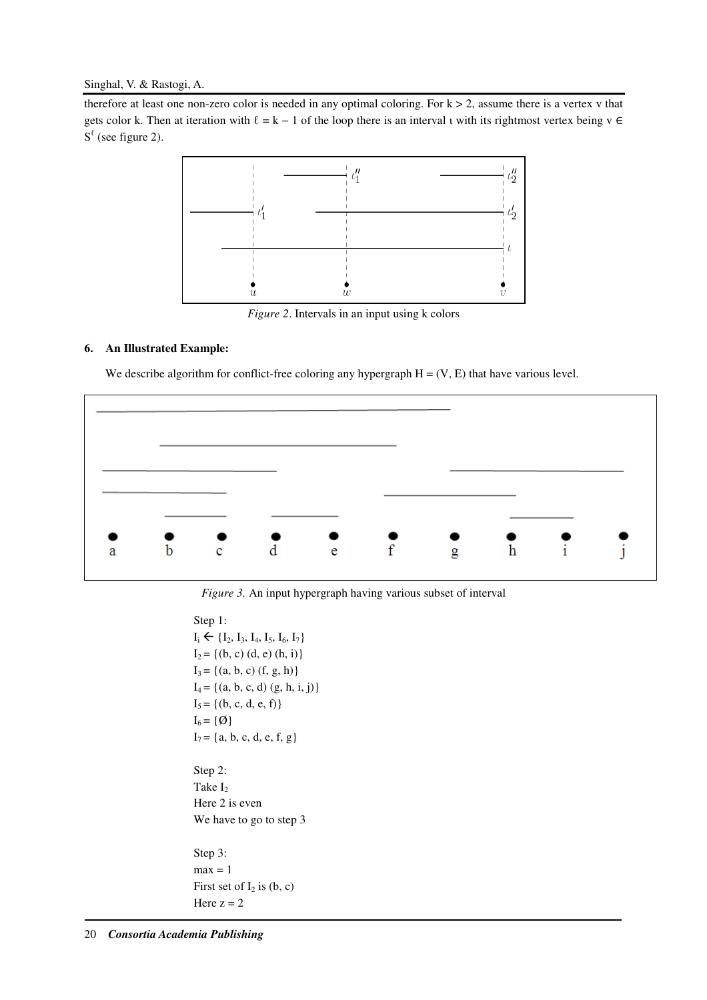Singhal, V. & Rastogi, A.

therefore at least one non-zero color is needed in any optimal coloring. For  $k > 2$ , assume there is a vertex v that gets color k. Then at iteration with  $\ell = k - 1$  of the loop there is an interval  $\iota$  with its rightmost vertex being  $v \in$  $S^{\ell}$  (see figure 2).



*Figure 2*. Intervals in an input using k colors

# **6. An Illustrated Example:**

We describe algorithm for conflict-free coloring any hypergraph  $H = (V, E)$  that have various level.



*Figure 3.* An input hypergraph having various subset of interval

```
Step 1: 
I_i \leftarrow \{I_2, I_3, I_4, I_5, I_6, I_7\}I_2 = \{(b, c) (d, e) (h, i)\}\I_3 = \{(a, b, c) (f, g, h)\}I_4 = \{(a, b, c, d) (g, h, i, j)\}\I_5 = \{(b, c, d, e, f)\}\I_6 = \{\emptyset\}I_7 = \{a, b, c, d, e, f, g\}Step 2: 
Take I<sub>2</sub>
Here 2 is even 
We have to go to step 3 
Step 3: 
max = 1First set of I_2 is (b, c)Here z = 2
```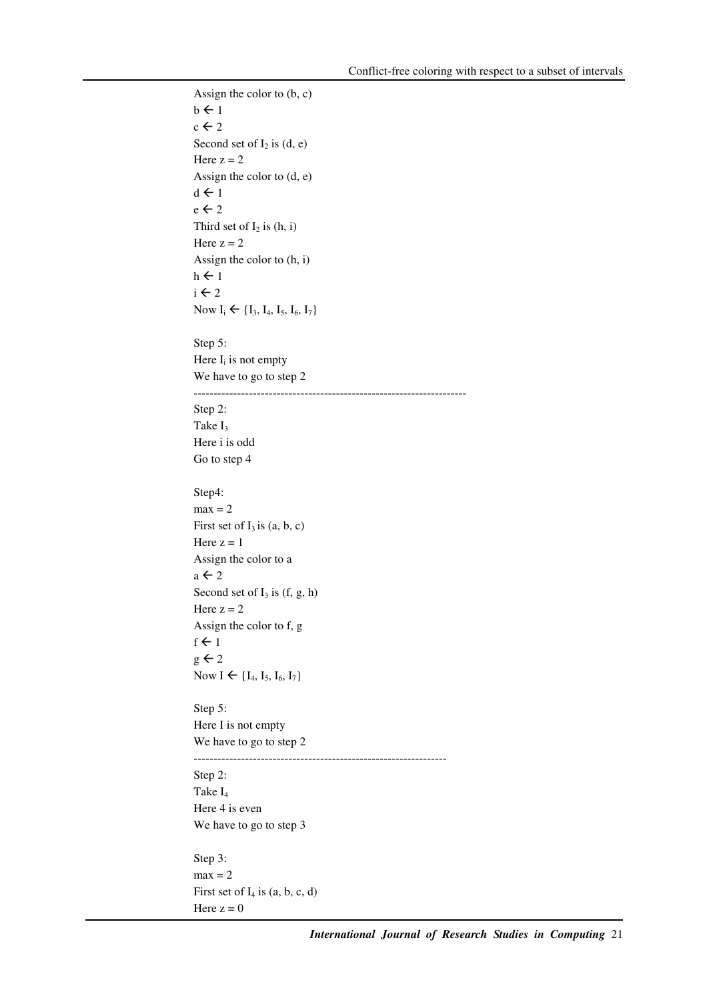```
Assign the color to (b, c) 
b \leftarrow 1c \leftarrow 2Second set of I_2 is (d, e)Here z = 2Assign the color to (d, e) 
d \leftarrow 1e \leftarrow 2Third set of I_2 is (h, i)Here z = 2Assign the color to (h, i) 
h \leftarrow 1i \leftarrow 2Now I_i \leftarrow \{I_3, I_4, I_5, I_6, I_7\}Step 5: 
Here I_i is not empty
We have to go to step 2 
--------------------------------------------------------------------- 
Step 2: 
Take I_3Here i is odd 
Go to step 4 
Step4: 
max = 2First set of I_3 is (a, b, c)Here z = 1Assign the color to a 
a \leftarrow 2Second set of I_3 is (f, g, h)Here z = 2Assign the color to f, g 
\mathbf{f} \leftarrow \mathbf{1}g \leftarrow 2Now I \leftarrow \{I_4, I_5, I_6, I_7\}Step 5: 
Here I is not empty 
We have to go to step 2 
---------------------------------------------------------------- 
Step 2: 
Take I<sub>4</sub>
Here 4 is even 
We have to go to step 3
Step 3: 
max = 2First set of I_4 is (a, b, c, d)
Here z = 0
```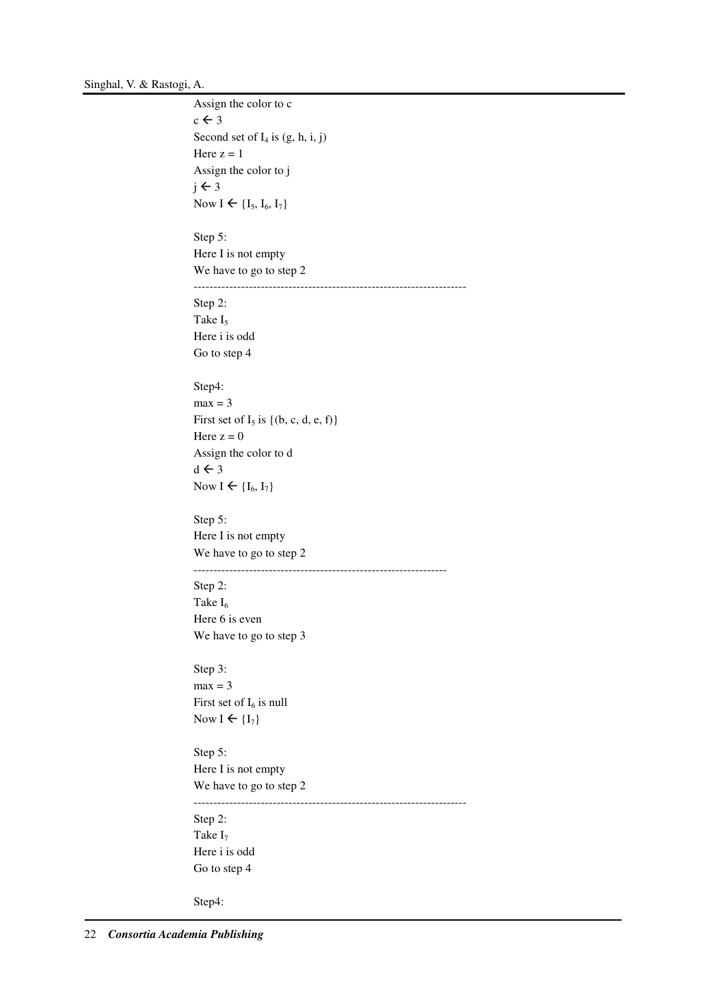```
Assign the color to c 
c \leftarrow 3Second set of I_4 is (g, h, i, j)Here z = 1Assign the color to j 
j \leftarrow 3Now I \leftarrow \{I_5, I_6, I_7\}Step 5: 
Here I is not empty 
We have to go to step 2 
--------------------------------------------------------------------- 
Step 2: 
Take I_5Here i is odd 
Go to step 4 
Step4: 
max = 3First set of I_5 is \{(b, c, d, e, f)\}\Here z = 0Assign the color to d 
d \leftarrow 3Now I \leftarrow \{I_6, I_7\}Step 5: 
Here I is not empty 
We have to go to step 2 
---------------------------------------------------------------- 
Step 2: 
Take I_6Here 6 is even 
We have to go to step 3 
Step 3: 
max = 3First set of I<sub>6</sub> is null
Now I \leftarrow \{I_7\}Step 5: 
Here I is not empty 
We have to go to step 2 
--------------------------------------------------------------------- 
Step 2: 
Take I_7Here i is odd 
Go to step 4 
Step4:
```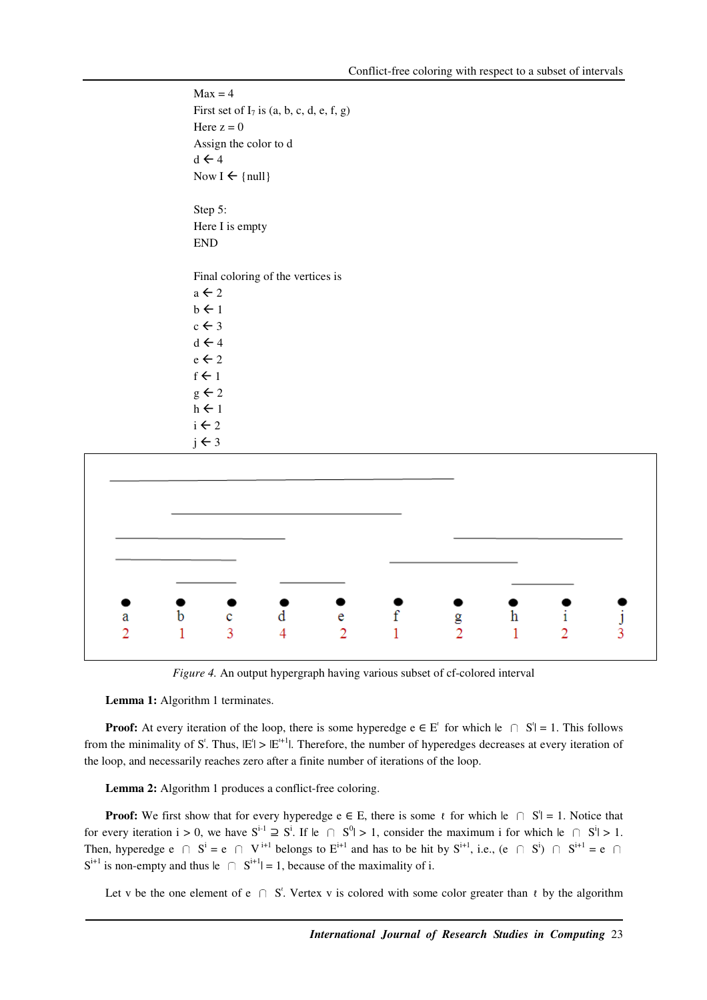$Max = 4$ First set of  $I_7$  is (a, b, c, d, e, f, g) Here  $z = 0$ Assign the color to d  $d \leftarrow 4$ Now  $I \leftarrow \{null\}$ Step 5: Here I is empty END Final coloring of the vertices is  $a \leftarrow 2$  $b \leftarrow 1$  $c \leftarrow 3$  $d \leftarrow 4$  $e \leftarrow 2$  $f \leftarrow 1$  $g \leftarrow 2$  $h \leftarrow 1$  $i \leftarrow 2$  $j \leftarrow 3$ 



*Figure 4.* An output hypergraph having various subset of cf-colored interval

**Lemma 1:** Algorithm 1 terminates.

**Proof:** At every iteration of the loop, there is some hyperedge  $e \in E^t$  for which  $|e \cap S^t| = 1$ . This follows from the minimality of S'. Thus,  $|E'| > |E^{+1}|$ . Therefore, the number of hyperedges decreases at every iteration of the loop, and necessarily reaches zero after a finite number of iterations of the loop.

**Lemma 2:** Algorithm 1 produces a conflict-free coloring.

**Proof:** We first show that for every hyperedge  $e \in E$ , there is some  $\ell$  for which  $|e \cap S'| = 1$ . Notice that for every iteration i > 0, we have  $S^{i-1} \supseteq S^i$ . If  $|e \cap S^0| > 1$ , consider the maximum i for which  $|e \cap S^i| > 1$ . Then, hyperedge  $e \cap S^i = e \cap V^{i+1}$  belongs to  $E^{i+1}$  and has to be hit by  $S^{i+1}$ , i.e.,  $(e \cap S^i) \cap S^{i+1} = e \cap$  $S^{i+1}$  is non-empty and thus  $|e \cap S^{i+1}| = 1$ , because of the maximality of i.

Let v be the one element of e  $\cap$  S'. Vertex v is colored with some color greater than  $\ell$  by the algorithm